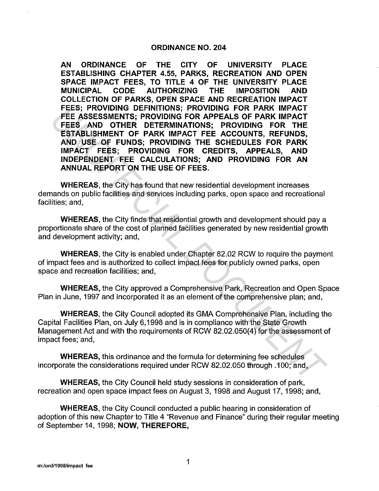### **ORDINANCE NO. 204**

**AN ORDINANCE OF THE CITY OF UNIVERSITY PLACE ESTABLISHING CHAPTER 4.55, PARKS, RECREATION AND OPEN SPACE IMPACT FEES, TO TITLE 4 OF THE UNIVERSITY PLACE MUNICIPAL CODE AUTHORIZING THE IMPOSITION AND COLLECTION OF PARKS, OPEN SPACE AND RECREATION IMPACT FEES; PROVIDING DEFINITIONS; PROVIDING FOR PARK IMPACT FEE ASSESSMENTS; PROVIDING FOR APPEALS OF PARK IMPACT FEES AND OTHER DETERMINATIONS; PROVIDING FOR THE ESTABLISHMENT OF PARK IMPACT FEE ACCOUNTS, REFUNDS, AND USE OF FUNDS; PROVIDING THE SCHEDULES FOR PARK IMPACT FEES; PROVIDING FOR CREDITS, APPEALS, AND INDEPENDENT FEE CALCULATIONS; AND PROVIDING FOR AN ANNUAL REPORT ON THE USE OF FEES.**  FEE ASSESSMENTS; PROVIDING FOR PARK IMPACT<br>FEE ASSESSMENTS; PROVIDING FOR APPEALS OF PARK IMPACT<br>FEE ASSESSMENTS; PROVIDING FOR APPEALS OF PARK IMPACT<br>FEES AND OTHER DETERMINATIONS; PROVIDING FOR THE<br>ESTABLISHMENT OF PARK

**WHEREAS,** the City has found that new residential development increases demands on public facilities and services including parks, open space and recreational facilities; and,

**WHEREAS,** the City finds that residential growth and development should pay a proportionate share of the cost of planned facilities generated by new residential growth and development activity; and,

**WHEREAS,** the City is enabled under Chapter 82.02 RCW to require the payment of impact fees and is authorized to collect impact fees for publicly owned parks, open space and recreation facilities; and,

**WHEREAS,** the City approved a Comprehensive Park, Recreation and Open Space Plan in June, 1997 and incorporated it as an element of the comprehensive plan; and,

**WHEREAS,** the City Council adopted its GMA Comprehensive Plan, including the Capital Facilities Plan, on July 6, 1998 and is in compliance with the State Growth Management Act and with the requirements of RCW 82.02.050(4) for the assessment of impact fees; and,

**WHEREAS,** this ordinance and the formula for determining fee schedules incorporate the considerations required under RCW 82:02.050 through .100; and,

**WHEREAS,** the City Council held study sessions in consideration of park, recreation and open space impact fees on August 3, 1998 and August 17, 1998; and,

**WHEREAS,** the City Council conducted a public hearing in consideration of adoption of this new Chapter to Title 4 "Revenue and Finance" during their regular meeting of September 14, 1998; **NOW, THEREFORE,**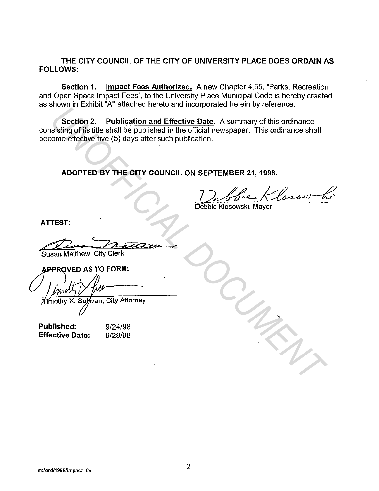### THE CITY COUNCIL OF THE CITY OF UNIVERSITY PLACE DOES ORDAIN AS FOLLOWS:

Section 1. Impact Fees Authorized. A new Chapter 4.55, "Parks, Recreation and Open Space Impact Fees", to the University Place Municipal Code is hereby created as shown in Exhibit "A" attached hereto and incorporated herein by reference.

Section 2. Publication and Effective Date. A summary of this ordinance consisting of its title shall be published in the official newspaper. This ordinance shall become effective five (5) days after such publication. **UNIFICATE AND ACCEDED AND THE CITY COUNCIL ON SEPTEMBER 21, 1998.**<br>
Section 2. <u>Publication and Effective Date</u>. A summary of this ordinance<br>
instanting of its title shall be published in the official newspaper. This ordi

ADOPTED BY THE CITY COUNCIL ON SEPTEMBER 21, 1998.

ATTEST:

Susan Matthew, City Clerk

Published: Effective Date:

9/24/98 9/29/98

m:/ord/1998/impact fee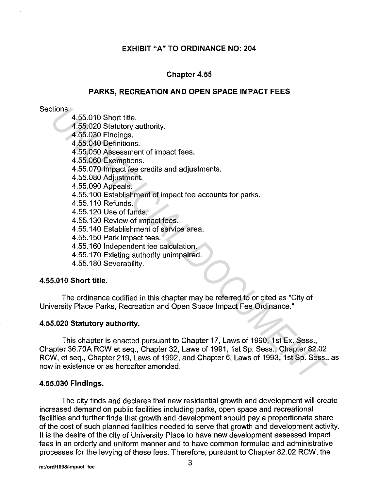### **EXHIBIT "A" TO ORDINANCE NO: 204**

### **Chapter 4.55**

#### **PARKS, RECREATION AND OPEN SPACE IMPACT FEES**

#### Sections:

4.55.010 Short title.

4.55.020 Statutory authority.

4.55.030 Findings.

4.55.040 Definitions.

4.55.050 Assessment of impact fees.

4.55.060 Exemptions.

4.55.070 Impact fee credits and adjustments.

4.55.080 Adjustment.

4.55.090 Appeals.

4.55.100 Establishment of impact fee accounts for parks.

4.55.110 Refunds.

4.55.120 Use of funds.

4.55.130 Review of impact fees.

4.55.140 Establishment of service area.

4.55.150 Park impact fees.

4.55.160 Independent fee calculation.

4.55.170 Existing authority unimpaired.

4.55.180 Severability.

### **4.55.010 Short title.**

The ordinance codified in this chapter may be referred to or cited as "City of University Place Parks, Recreation and Open Space Impact Fee Ordinance."

#### **4.55.020 Statutory authority.**

This chapter is enacted pursuant to Chapter 17, Laws of 1990, 1st Ex. Sess., Chapter 36.70A RCW et seq., Chapter 32, Laws of 1991, 1st Sp. Sess., Chapter 82.02 RCW, et seq., Chapter 219, Laws of 1992, and Chapter 6, Laws of 1993, 1st Sp. Sess., as now in existence or as hereafter amended. tions:<br>4.55.010 Short title.<br>4.56.030 Findings.<br>4.56.030 Findings.<br>4.56.060 Examptions.<br>4.56.060 Assessment of impact fees.<br>4.56.060 Assessment of impact fees.<br>4.56.080 Adjustment.<br>4.56.080 Adjustment of impact fee account

### **4.55.030 Findings.**

The city finds and declares that new residential growth and development will create increased demand on public facilities including parks, open space and recreational facilities and further finds that growth and development should pay a proportionate share of the cost of such planned facilities needed to serve that growth and development activity. It is the desire of the city of University Place to have new development assessed impact fees in an orderly and uniform manner and to have common formulae and administrative processes for the levying of these fees. Therefore, pursuant to Chapter 82.02 RCW, the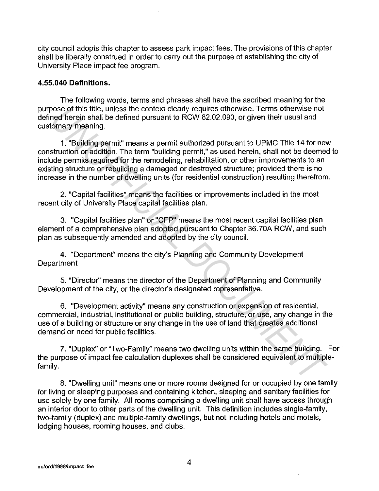city council adopts this chapter to assess park impact fees. The provisions of this chapter shall be liberally construed in order to carry out the purpose of establishing the city of University Place impact fee program.

### **4.55.040 Definitions.**

The following words, terms and phrases shall have the ascribed meaning for the purpose of this title, unless the context clearly requires otherwise. Terms otherwise not defined herein shall be defined pursuant to RCW 82.02.090, or given their usual and customary meaning.

1. "Building permit" means a permit authorized pursuant to UPMC Title 14 for new construction or addition. The term "building permit," as used herein, shall not be deemed to include permits required for the remodeling, rehabilitation, or other improvements to an existing structure or rebuilding a damaged or destroyed structure; provided there is no increase in the number of dwelling units (for residential construction) resulting therefrom. **Coose of this title, unless the context clearly requires otherwise. Terms otherwise not<br>nead herein shall be defined pursuant to RCW 82.02.090, or given their usual and<br>tomary meaning.<br>
1. "Building permit" means a permit** 

2. "Capital facilities" means the facilities or improvements included in the most recent city of University Place capital facilities plan.

3. "Capital facilities plan" or "CFP" means the most recent capital facilities plan element of a comprehensive plan adopted pursuant to Chapter 36.?0A RCW, and such plan as subsequently amended and adopted by the city council.

4. "Department" means the city's Planning and Community Development **Department** 

5. "Director'' means the director of the Department of Planning and Community Development of the city, or the director's designated representative.

6. "Development activity" means any construction or expansion of residential, commercial, industrial, institutional or public building, structure, or use, any change in the use of a building or structure or any change in the use of land that creates additional demand or need for public facilities.

7. "Duplex" or "Two-Family" means two dwelling units within the same building. For the purpose of impact fee calculation duplexes shall be considered equivalent to multiplefamily.

8. "Dwelling unit" means one or more rooms designed for or occupied by one family for living or sleeping purposes and containing kitchen, sleeping and sanitary facilities for use solely by one family. All rooms comprising a dwelling unit shall have access through an interior door to other parts of the dwelling unit. This definition includes single-family, two-family (duplex) and multiple-family dwellings, but not including hotels and motels, lodging houses, rooming houses, and clubs.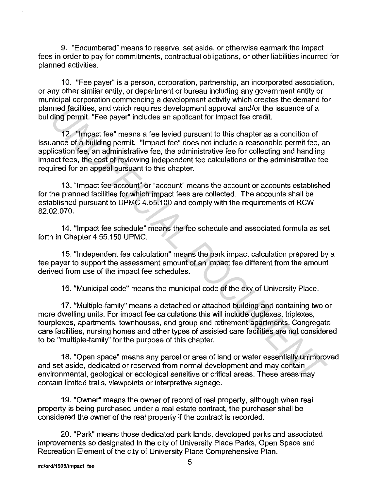9. "Encumbered" means to reserve, set aside, or otherwise earmark the impact fees in order to pay for commitments, contractual obligations, or other liabilities incurred for planned activities.

10. "Fee payer" is a person, corporation, partnership, an incorporated association, or any other similar entity, or department or bureau including any government entity or municipal corporation commencing a development activity which creates the demand for planned facilities, and which requires development approval and/or the issuance of a building permit. "Fee payer" includes an applicant for impact fee credit.

12. "Impact fee" means a fee levied pursuant to this chapter as a condition of issuance of a building permit. "Impact fee" does not include a reasonable permit fee, an application fee, an administrative fee, the administrative fee for collecting and handling impact fees, the cost of reviewing independent fee calculations or the administrative fee required for an appeal pursuant to this chapter. nned facilities, and which requires development approval and/or the issuance of a<br> **Uding permit.** "Fee payer" includes an applicant for impact fee credit.<br>
12. "Impact fee" means a fee levide pursuant to this chapter as a

13. "Impact fee account" or "account" means the account or accounts established for the planned facilities for which impact fees are collected. The accounts shall be established pursuant to UPMC 4.55.100 and comply with the requirements of RCW 82.02.070.

14. "Impact fee schedule" means the fee schedule and associated formula as set forth in Chapter 4.55.150 UPMC.

15. "Independent fee calculation" means the park impact calculation prepared by a fee payer to support the assessment amount of an impact fee different from the amount derived from use of the impact fee schedules.

16. "Municipal code" means the municipal code of the city of University Place.

17. "Multiple-family" means a detached or attached building and containing two or more dwelling units. For impact fee calculations this will include duplexes, triplexes, fourplexes, apartments, townhouses, and group and retirement apartments. Congregate care facilities, nursing homes and other types of assisted care facilities are not considered to be "multiple-family" for the purpose of this chapter.

18. "Open space" means any parcel or area of land or water essentially unimproved and set aside, dedicated or reserved from normal development and may contain environmental, geological or ecological sensitive or critical areas. These areas may contain limited trails, viewpoints or interpretive signage.

19. "Owner" means the owner of record of real property, although when real property is being purchased under a real estate contract, the purchaser shall be considered the owner of the real property if the contract is recorded.

20. "Park" means those dedicated park lands, developed parks and associated improvements so designated in the city of University Place Parks, Open Space and Recreation Element of the city of University Place Comprehensive Plan.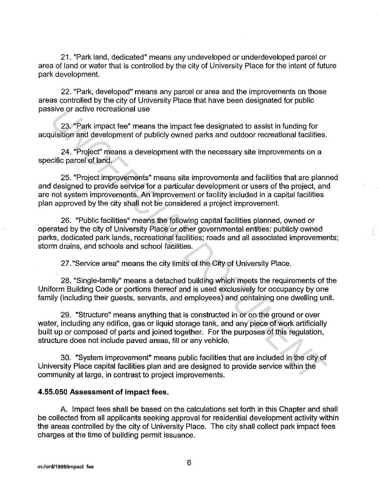21. "Park land, dedicated" means any undeveloped or underdeveloped parcel or area of land or water that is controlled by the city of University Place for the intent of future park development.

22. "Park, developed" means any parcel or area and the improvements on those areas controlled by the city of University Place that have been designated for public passive or active recreational use

23. "Park impact fee" means the impact fee designated to assist in funding for acquisition and development of publicly owned parks and outdoor recreational facilities.

24. "Project" means a development with the necessary site improvements on a specific parcel of land.

25. "Project improvements" means site improvements and facilities that are planned and designed to provide service for a particular development or users of the project, and are not system improvements. An improvement or facility included in a capital facilities plan approved by the city shall not be considered a project improvement.

26. "Public facilities" means the following capital facilities planned, owned or operated by the city of University Place or other governmental entities: publicly owned parks, dedicated park lands, recreational facilities; roads and all associated improvements; storm drains, and schools and school facilities. sive or active recreational use<br>
<sup>23</sup>, "Park impact fee" means the impact fee designated to assist in funding for<br>
<sup>23</sup>, "Project" means a development with the necessary site improvements on a<br>
<sup>24</sup>, "Project" means a deve

27. "Service area" means the city limits of the City of University Place.

28. "Single-family" means a detached building which meets the requirements of the Uniform Building Code or portions thereof and is used exclusively for occupancy by one family (including their guests, servants, and employees) and containing one dwelling unit.

29. "Structure" means anything that is constructed in or on the ground or over water, including any edifice, gas or liquid storage tank, and any piece of work artificially built up or composed of parts and joined together. For the purposes of this regulation, structure does not include paved areas, fill or any vehicle.

30. "System improvement" means public facilities that are included in the city of University Place capital facilities plan and are designed to provide service within the community at large, in contrast to project improvements.

### **4.55.050 Assessment of impact fees.**

A. Impact fees shall be based on the calculations set forth in this Chapter and shall be collected from all applicants seeking approval for residential development activity within the areas controlled by the city of University Place. The city shall collect park impact fees charges at the time of building permit issuance.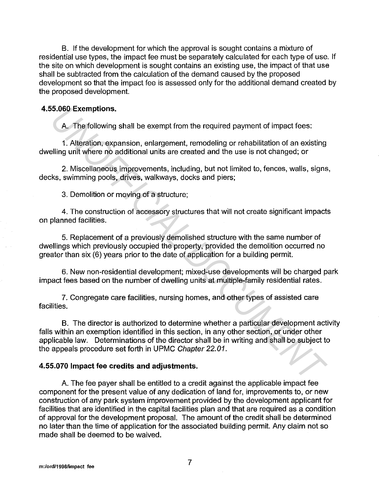B. If the development for which the approval is sought contains a mixture of residential use types, the impact fee must be separately calculated for each type of use. If the site on which development is sought contains an existing use, the impact of that use shall be subtracted from the calculation of the demand caused by the proposed development so that the impact fee is assessed only for the additional demand created by the proposed development.

## **4.55.060 Exemptions.**

A. The following shall be exempt from the required payment of impact fees:

1. Alteration, expansion, enlargement, remodeling or rehabilitation of an existing dwelling unit where no additional units are created and the use is not changed; or

2. Miscellaneous improvements, including, but not limited to, fences, walls, signs, decks, swimming pools, drives, walkways, docks and piers;

3. Demolition or moving of a structure;

4. The construction of accessory structures that will not create significant impacts on planned facilities.

5. Replacement of a previously demolished structure with the same number of dwellings which previously occupied the property, provided the demolition occurred no greater than six (6) years prior to the date of application for a building permit.

6. New non-residential development; mixed-use developments will be charged park impact fees based on the number of dwelling units at multiple-family residential rates.

7. Congregate care facilities, nursing homes, and other types of assisted care facilities.

B. The director is authorized to determine whether a particular development activity falls within an exemption identified in this section, in any other section, or under other applicable law. Determinations of the director shall be in writing and shall be subject to the appeals procedure set forth in UPMC Chapter 22.01. **A.** The following shall be exempt from the required payment of impact foes:<br> **A.** The following shall be exempt from the required payment of impact foes:<br>
1. Alteration, expansion, enlargement, remodeling or rehabilitatio

# **4.55.070 Impact fee credits and adjustments.**

A. The fee payer shall be entitled to a credit against the applicable impact fee component for the present value of any dedication of land for, improvements to, or new construction of any park system improvement provided by the development applicant for facilities that are identified in the capital facilities plan and that are required as a condition of approval for the development proposal. The amount of the credit shall be determined no later than the time of application for the associated building permit. Any claim not so made shall be deemed to be waived.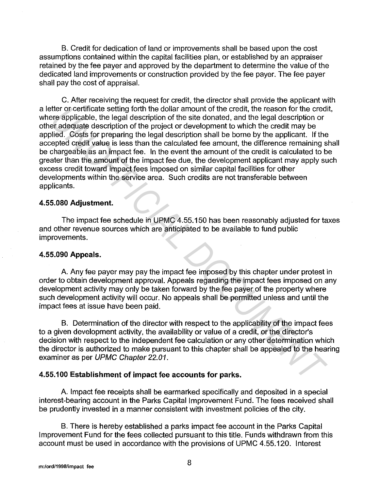B. Credit for dedication of land or improvements shall be based upon the cost assumptions contained within the capital facilities plan, or established by an appraiser retained by the fee payer and approved by the department to determine the value of the dedicated land improvements or construction provided by the fee payer. The fee payer shall pay the cost of appraisal.

C. After receiving the request for credit, the director shall provide the applicant with a letter or certificate setting forth the dollar amount of the credit, the reason for the credit, where applicable, the legal description of the site donated, and the legal description or other adequate description of the project or development to which the credit may be applied. Costs for preparing the legal description shall be borne by the applicant. If the accepted credit value is less than the calculated fee amount, the difference remaining shall be chargeable as an impact fee. In the event the amount of the credit is calculated to be greater than the amount of the impact fee due, the development applicant may apply such excess credit toward impact fees imposed on similar capital facilities for other developments within the service area. Such credits are not transferable between applicants. retro creditical estiting forth the dollar amount of the credit, the reason for the credit and the property are example the credit may be credit to credit costs for preparing the legal description of the project or develop

## **4.55.080 Adjustment.**

The impact fee schedule in UPMC 4.55.150 has been reasonably adjusted for taxes and other revenue sources which are anticipated to be available to fund public improvements.

### **4.55.090 Appeals.**

A. Any fee payer may pay the impact fee imposed by this chapter under protest in order to obtain development approval. Appeals regarding the impact fees imposed on any development activity may only be taken forward by the fee payer of the property where such development activity will occur. No appeals shall be permitted unless and until the impact fees at issue have been paid.

B. Determination of the director with respect to the applicability of the impact fees to a given development activity, the availability or value of a credit, or the director's decision with respect to the independent fee calculation or any other determination which the director is authorized to make pursuant to this chapter shall be appealed to the hearing examiner as per UPMC Chapter 22.01.

# **4.55.100 Establishment of impact fee accounts for parks.**

A. Impact fee receipts shall be earmarked specifically and deposited in a special interest-bearing account in the Parks Capital Improvement Fund. The fees received shall be prudently invested in a manner consistent with investment policies of the city.

B. There is hereby established a parks impact fee account in the Parks Capital Improvement Fund for the fees collected pursuant to this title. Funds withdrawn from this account must be used in accordance with the provisions of UPMC 4.55.120. Interest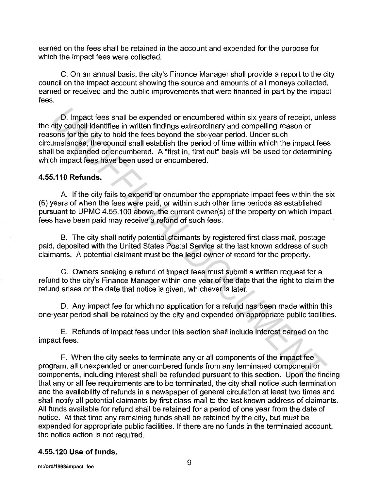earned on the fees shall be retained in the account and expended for the purpose for which the impact fees were collected.

C. On an annual basis, the city's Finance Manager shall provide a report to the city council on the impact account showing the source and amounts of all moneys collected, earned or received and the public improvements that were financed in part by the impact fees.

D. Impact fees shall be expended or encumbered within six years of receipt, unless the city council identifies in written findings extraordinary and compelling reason or reasons for the city to hold the fees beyond the six-year period. Under such circumstances, the council shall establish the period of time within which the impact fees shall be expended or encumbered. A "first in, first out" basis will be used for determining which impact fees have been used or encumbered. D. Impact fees shall be expended or encumbered within six years of receipt, untity council identifies in written findings extraordinary and compelling reason or soms for the city to hold the fees beyond the six-year peri

### **4.55.110 Refunds.**

A. If the city fails to expend or encumber the appropriate impact fees within the six (6) years of when the fees were paid, or within such other time periods as established pursuant to UPMC 4.55.100 above, the current owner(s) of the property on which impact fees have been paid may receive a refund of such fees.

B. The city shall notify potential claimants by registered first class mail, postage paid, deposited with the United States Postal Service at the last known address of such claimants. A potential claimant must be the legal owner of record for the property.

C. Owners seeking a refund of impact fees must submit a written request for a refund to the city's Finance Manager within one year of the date that the right to claim the refund arises or the date that notice is given, whichever is later.

D. Any impact fee for which no application for a refund has been made within this one-year period shall be retained by the city and expended on appropriate public facilities.

E. Refunds of impact fees under this section shall include interest earned on the impact fees.

F. When the city seeks to terminate any or all components of the impact fee program, all unexpended or unencumbered funds from any terminated component or components, including interest shall be refunded pursuant to this section. Upon the finding that any or all fee requirements are to be terminated, the city shall notice such termination and the availability of refunds in a newspaper of general circulation at least two times and shall notify all potential claimants by first class mail to the last known address of claimants. All funds available for refund shall be retained for a period of one year from the date of notice. At that time any remaining funds shall be retained by the city, but must be expended for appropriate public facilities. If there are no funds in the terminated account, the notice action is not required.

### **4.55.120 Use of funds.**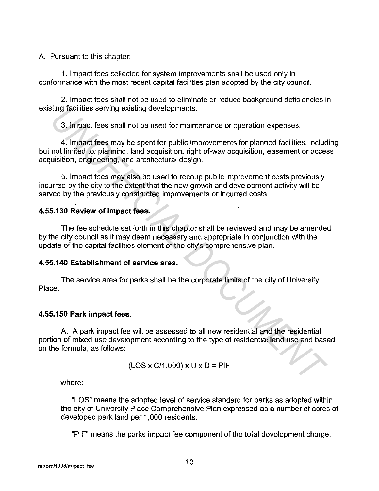A. Pursuant to this chapter:

1. Impact fees collected for system improvements shall be used only in conformance with the most recent capital facilities plan adopted by the city council.

2. Impact fees shall not be used to eliminate or reduce background deficiencies in existing facilities serving existing developments.

3. Impact fees shall not be used for maintenance or operation expenses.

4. Impact fees may be spent for public improvements for planned facilities, including but not limited to: planning, land acquisition, right-of-way acquisition, easement or access acquisition, engineering, and architectural design.

5. Impact fees may also be used to recoup public improvement costs previously incurred by the city to the extent that the new growth and development activity will be served by the previously constructed improvements or incurred costs.

### 4.55.130 Review of impact fees.

The fee schedule set forth in this chapter shall be reviewed and may be amended by the city council as it may deem necessary and appropriate in conjunction with the update of the capital facilities element of the city's comprehensive plan.

#### 4.55.140 Establishment of service area.

The service area for parks shall be the corporate limits of the city of University Place.

#### 4.55.150 Park impact fees.

A. A park impact fee will be assessed to all new residential and the residential portion of mixed use development according to the type of residential land use and based on the formula, as follows: **Example 10** Serving existing dovelopments.<br>
3. Impact fees shall not be used for maintenance or operation expenses.<br>
4. Impact fees may be spent for public improvements for planned facilities, include<br>
not limited to: pl

$$
(LOS \times C/1,000) \times U \times D = PIF
$$

where:

"LOS" means the adopted level of service standard for parks as adopted within the city of University Place Comprehensive Plan expressed as a number of acres of developed park land per 1,000 residents.

"PIF" means the parks impact fee component of the total development charge.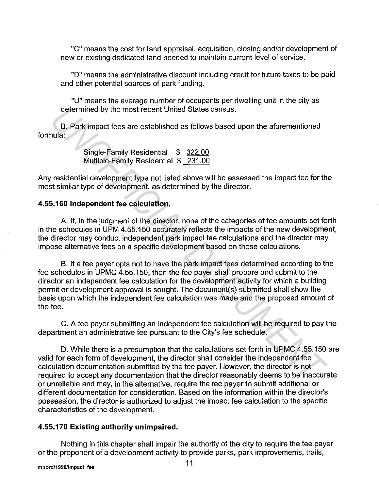"C" means the cost for land appraisal, acquisition, closing and/or development of new or existing dedicated land needed to maintain current level of service.

"D" means the administrative discount including credit for future taxes to be paid and other potential sources of park funding.

"U" means the average number of occupants per dwelling unit in the city as determined by the most recent United States census.

B. Park impact fees are established as follows based upon the aforementioned formula:

> Single-Family Residential \$ 322.00 Multiple-Family Residential \$ 231.00

Any residential development type not listed above will be assessed the impact fee for the most similar type of development, as determined by the director.

# **4.55.160 Independent** fee **calculation.**

A. If, in the judgment of the director, none of the categories of fee amounts set forth in the schedules in UPM 4.55.150 accurately reflects the impacts of the new development, the director may conduct independent park impact fee calculations and the director may impose alternative fees on a specific development based on those calculations.

B. If a fee payer opts not to have the park impact fees determined according to the fee schedules in UPMC 4.55.150, then the fee payer shall prepare and submit to the director an independent fee calculation for the development activity for which a building permit or development approval is sought. The document(s) submitted shall show the basis upon which the independent fee calculation was made and the proposed amount of the fee. determined by the most recent United States census.<br> **B.** Park impact fees are established as follows based upon the aforementioned<br>
unla:<br>
Single-Family Residential \$ 322.00<br>
Multiple-Family Residential \$ 231.00<br>
Multiple

C. A fee payer submitting an independent fee calculation will be required to pay the department an administrative fee pursuant to the City's fee schedule.

D. While there is a presumption that the calculations set forth in UPMC 4.55.150 are valid for each form of development, the director shall consider the independent fee calculation documentation submitted by the fee payer. However, the director is not required to accept any documentation that the director reasonably deems to be inaccurate or unreliable and may, in the alternative, require the fee payer to submit additional or different documentation for consideration. Based on the information within the director's possession, the director is authorized to adjust the impact fee calculation to the specific characteristics of the development.

# **4.55.170 Existing authority unimpaired.**

Nothing in this chapter shall impair the authority of the city to require the fee payer or the proponent of a development activity to provide parks, park improvements, trails,